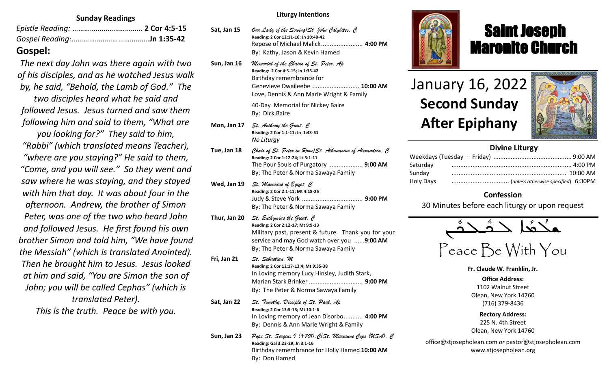#### **Sunday Readings**

## **Gospel:**

*The next day John was there again with two of his disciples, and as he watched Jesus walk by, he said, "Behold, the Lamb of God." The two disciples heard what he said and followed Jesus. Jesus turned and saw them following him and said to them, "What are you looking for?" They said to him, "Rabbi" (which translated means Teacher), "where are you staying?" He said to them, "Come, and you will see." So they went and saw where he was staying, and they stayed with him that day. It was about four in the afternoon. Andrew, the brother of Simon Peter, was one of the two who heard John and followed Jesus. He first found his own brother Simon and told him, "We have found the Messiah" (which is translated Anointed). Then he brought him to Jesus. Jesus looked at him and said, "You are Simon the son of John; you will be called Cephas" (which is translated Peter). This is the truth. Peace be with you.*

**Liturgy Intentions**

| Sat, Jan 15  | Our Lady of the Sowing St. John Calybites, C<br>Reading: 2 Cor 12:11-16; Jn 10:40-42<br>Repose of Michael Malick 4:00 PM<br>By: Kathy, Jason & Kevin Hamed                                                               |
|--------------|--------------------------------------------------------------------------------------------------------------------------------------------------------------------------------------------------------------------------|
| Sun, Jan 16  | Memorial of the Chains of St. Peter, Ap<br>Reading: 2 Cor 4:5-15; Jn 1:35-42<br>Birthday remembrance for<br>Genevieve Dwaileebe  10:00 AM<br>Love, Dennis & Ann Marie Wright & Family                                    |
|              | 40-Day Memorial for Nickey Baire<br>By: Dick Baire                                                                                                                                                                       |
| Mon, Jan 17  | $St.$ Anthony the Great, $C$<br>Reading: 2 Cor 1:1-11; Jn 1:43-51<br>No Liturgy                                                                                                                                          |
| Tue, Jan 18  | Chair of St. Peter in Rome  St. Athanasius of Alexandria, C<br>Reading: 2 Cor 1:12-24; Lk 5:1-11<br>The Pour Souls of Purgatory  9:00 AM<br>By: The Peter & Norma Sawaya Family                                          |
| Wed, Jan 19  | St. Macarius of Egypt, C<br>Reading: 2 Cor 2:1-11; Mt 4:18-25<br>By: The Peter & Norma Sawaya Family                                                                                                                     |
| Thur, Jan 20 | $St.$ Euthymius the Great, $\mathcal C$<br>Reading: 2 Cor 2:12-17; Mt 9:9-13<br>Military past, present & future. Thank you for your<br>service and may God watch over you 9:00 AM<br>By: The Peter & Norma Sawaya Family |
| Fri, Jan 21  | St. Sebastian, M<br>Reading: 2 Cor 12:17-13:4; Mt 9:35-38<br>In Loving memory Lucy Hinsley, Judith Stark,<br>By: The Peter & Norma Sawaya Family                                                                         |
| Sat, Jan 22  | St. Timothy, Disciple of St. Paul, Ap<br>Reading: 2 Cor 13:5-13; Mt 10:1-6<br>In Loving memory of Jean Disorbo 4:00 PM<br>By: Dennis & Ann Marie Wright & Family                                                         |
| Sun, Jan 23  | Pope St. Sergius I (+701), C St. Marianne Cope (USA), C<br>Reading: Gal 3:23-29; Jn 3:1-16<br>Birthday remembrance for Holly Hamed 10:00 AM                                                                              |

By: Don Hamed



## Saint Joseph Maronite Church

# January 16, 2022 **Second Sunday After Epiphany**

ī



## **Divine Liturgy**

| Saturday  |  |
|-----------|--|
| Sunday    |  |
| Holy Days |  |

### **Confession**

30 Minutes before each liturgy or upon request



Peace Be With You

**Fr. Claude W. Franklin, Jr.**

**Office Address:** 1102 Walnut Street Olean, New York 14760 (716) 379-8436

**Rectory Address:** 225 N. 4th Street Olean, New York 14760

office@stjosepholean.com *or* pastor@stjosepholean.com www.stjosepholean.org